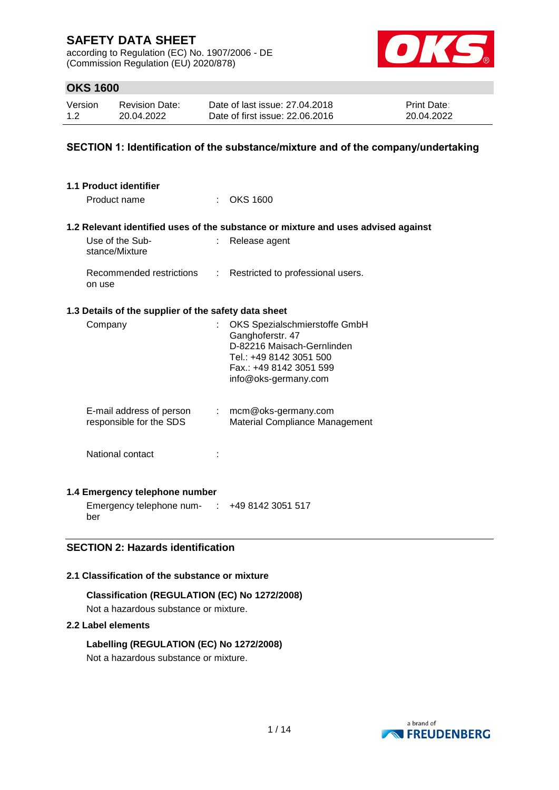according to Regulation (EC) No. 1907/2006 - DE (Commission Regulation (EU) 2020/878)



## **OKS 1600**

| Version | <b>Revision Date:</b> | Date of last issue: 27,04,2018  | <b>Print Date:</b> |
|---------|-----------------------|---------------------------------|--------------------|
| 1.2     | 20.04.2022            | Date of first issue: 22.06.2016 | 20.04.2022         |

#### **SECTION 1: Identification of the substance/mixture and of the company/undertaking**

| 1.1 Product identifier                               |    |                                                                                                                                                               |
|------------------------------------------------------|----|---------------------------------------------------------------------------------------------------------------------------------------------------------------|
| Product name                                         |    | : OKS 1600                                                                                                                                                    |
|                                                      |    | 1.2 Relevant identified uses of the substance or mixture and uses advised against                                                                             |
| Use of the Sub-<br>stance/Mixture                    | t. | Release agent                                                                                                                                                 |
| Recommended restrictions<br>on use                   | t. | Restricted to professional users.                                                                                                                             |
| 1.3 Details of the supplier of the safety data sheet |    |                                                                                                                                                               |
| Company                                              | ÷  | OKS Spezialschmierstoffe GmbH<br>Ganghoferstr. 47<br>D-82216 Maisach-Gernlinden<br>Tel.: +49 8142 3051 500<br>Fax.: +49 8142 3051 599<br>info@oks-germany.com |
| E-mail address of person<br>responsible for the SDS  |    | $:$ mcm@oks-germany.com<br>Material Compliance Management                                                                                                     |
| National contact                                     |    |                                                                                                                                                               |
| 1.4 Emergency telephone number                       |    |                                                                                                                                                               |
| متنصب المتماسية والمتمالية والمتمسمين                |    |                                                                                                                                                               |

Emergency telephone num-: +49 8142 3051 517 ber

## **SECTION 2: Hazards identification**

## **2.1 Classification of the substance or mixture**

**Classification (REGULATION (EC) No 1272/2008)** Not a hazardous substance or mixture.

#### **2.2 Label elements**

**Labelling (REGULATION (EC) No 1272/2008)** Not a hazardous substance or mixture.

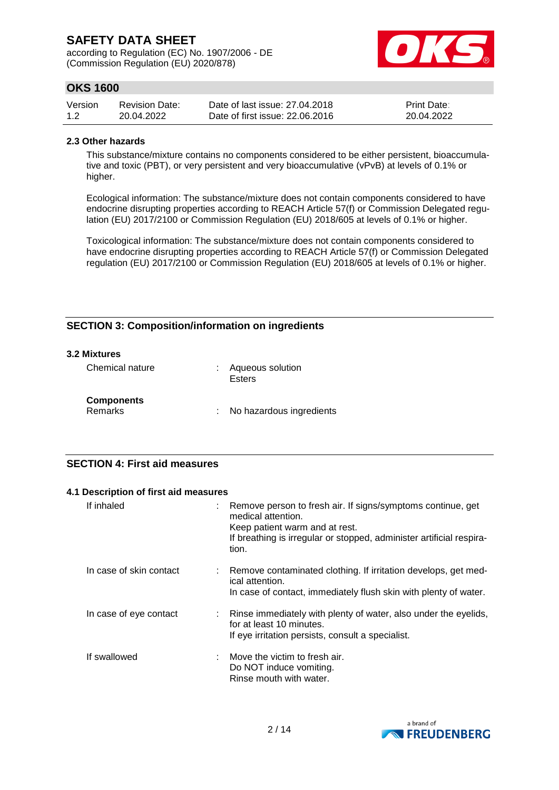according to Regulation (EC) No. 1907/2006 - DE (Commission Regulation (EU) 2020/878)



## **OKS 1600**

| Version | <b>Revision Date:</b> | Date of last issue: 27,04,2018  | <b>Print Date:</b> |
|---------|-----------------------|---------------------------------|--------------------|
| 1.2     | 20.04.2022            | Date of first issue: 22.06.2016 | 20.04.2022         |

#### **2.3 Other hazards**

This substance/mixture contains no components considered to be either persistent, bioaccumulative and toxic (PBT), or very persistent and very bioaccumulative (vPvB) at levels of 0.1% or higher.

Ecological information: The substance/mixture does not contain components considered to have endocrine disrupting properties according to REACH Article 57(f) or Commission Delegated regulation (EU) 2017/2100 or Commission Regulation (EU) 2018/605 at levels of 0.1% or higher.

Toxicological information: The substance/mixture does not contain components considered to have endocrine disrupting properties according to REACH Article 57(f) or Commission Delegated regulation (EU) 2017/2100 or Commission Regulation (EU) 2018/605 at levels of 0.1% or higher.

## **SECTION 3: Composition/information on ingredients**

#### **3.2 Mixtures**

| Chemical nature              | : Aqueous solution<br>Esters |
|------------------------------|------------------------------|
| <b>Components</b><br>Remarks | No hazardous ingredients     |

#### **SECTION 4: First aid measures**

#### **4.1 Description of first aid measures**

| If inhaled              | : Remove person to fresh air. If signs/symptoms continue, get<br>medical attention.<br>Keep patient warm and at rest.<br>If breathing is irregular or stopped, administer artificial respira-<br>tion. |
|-------------------------|--------------------------------------------------------------------------------------------------------------------------------------------------------------------------------------------------------|
| In case of skin contact | : Remove contaminated clothing. If irritation develops, get med-<br>ical attention.<br>In case of contact, immediately flush skin with plenty of water.                                                |
| In case of eye contact  | : Rinse immediately with plenty of water, also under the eyelids,<br>for at least 10 minutes.<br>If eye irritation persists, consult a specialist.                                                     |
| If swallowed            | $\therefore$ Move the victim to fresh air.<br>Do NOT induce vomiting.<br>Rinse mouth with water.                                                                                                       |

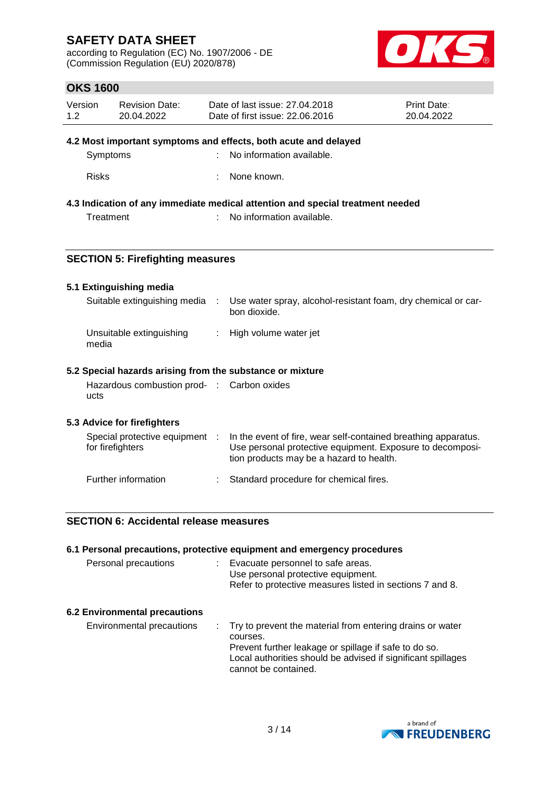according to Regulation (EC) No. 1907/2006 - DE (Commission Regulation (EU) 2020/878)



## **OKS 1600**

| Version | <b>Revision Date:</b> | Date of last issue: 27,04,2018  | <b>Print Date:</b> |
|---------|-----------------------|---------------------------------|--------------------|
| 1.2     | 20.04.2022            | Date of first issue: 22,06,2016 | 20.04.2022         |

#### **4.2 Most important symptoms and effects, both acute and delayed**

| Symptoms | No information available. |
|----------|---------------------------|
|          |                           |

Risks : None known.

### **4.3 Indication of any immediate medical attention and special treatment needed**

Treatment : No information available.

### **SECTION 5: Firefighting measures**

#### **5.1 Extinguishing media**

| Suitable extinguishing media      | Use water spray, alcohol-resistant foam, dry chemical or car-<br>bon dioxide. |
|-----------------------------------|-------------------------------------------------------------------------------|
| Unsuitable extinguishing<br>media | : High volume water jet                                                       |
|                                   |                                                                               |

## **5.2 Special hazards arising from the substance or mixture**

| Hazardous combustion prod- : Carbon oxides |  |
|--------------------------------------------|--|
| ucts                                       |  |

#### **5.3 Advice for firefighters**

| Special protective equipment :<br>for firefighters |  | In the event of fire, wear self-contained breathing apparatus.<br>Use personal protective equipment. Exposure to decomposi-<br>tion products may be a hazard to health. |  |  |
|----------------------------------------------------|--|-------------------------------------------------------------------------------------------------------------------------------------------------------------------------|--|--|
| Further information                                |  | Standard procedure for chemical fires.                                                                                                                                  |  |  |

## **SECTION 6: Accidental release measures**

|                                      | 6.1 Personal precautions, protective equipment and emergency procedures                                                                                                                                                  |
|--------------------------------------|--------------------------------------------------------------------------------------------------------------------------------------------------------------------------------------------------------------------------|
| Personal precautions                 | Evacuate personnel to safe areas.<br>Use personal protective equipment.<br>Refer to protective measures listed in sections 7 and 8.                                                                                      |
| <b>6.2 Environmental precautions</b> |                                                                                                                                                                                                                          |
| Environmental precautions            | : Try to prevent the material from entering drains or water<br>courses.<br>Prevent further leakage or spillage if safe to do so.<br>Local authorities should be advised if significant spillages<br>cannot be contained. |

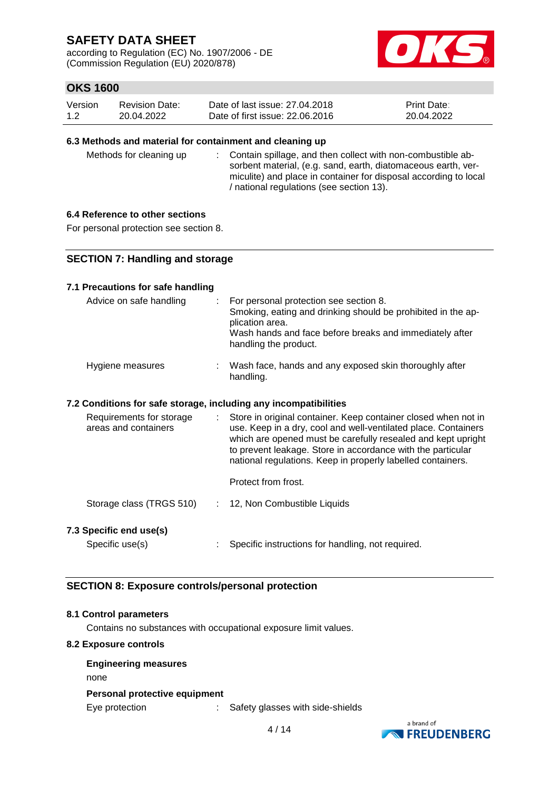according to Regulation (EC) No. 1907/2006 - DE (Commission Regulation (EU) 2020/878)



## **OKS 1600**

| Version | <b>Revision Date:</b> | Date of last issue: 27,04,2018  | <b>Print Date:</b> |
|---------|-----------------------|---------------------------------|--------------------|
| 1.2     | 20.04.2022            | Date of first issue: 22,06,2016 | 20.04.2022         |

#### **6.3 Methods and material for containment and cleaning up**

Methods for cleaning up : Contain spillage, and then collect with non-combustible absorbent material, (e.g. sand, earth, diatomaceous earth, vermiculite) and place in container for disposal according to local / national regulations (see section 13).

#### **6.4 Reference to other sections**

For personal protection see section 8.

#### **SECTION 7: Handling and storage**

#### **7.1 Precautions for safe handling**

| Advice on safe handling                                          | For personal protection see section 8.<br>Smoking, eating and drinking should be prohibited in the ap-<br>plication area.<br>Wash hands and face before breaks and immediately after<br>handling the product.                                                   |
|------------------------------------------------------------------|-----------------------------------------------------------------------------------------------------------------------------------------------------------------------------------------------------------------------------------------------------------------|
| Hygiene measures                                                 | Wash face, hands and any exposed skin thoroughly after<br>handling.                                                                                                                                                                                             |
| 7.2 Conditions for safe storage, including any incompatibilities |                                                                                                                                                                                                                                                                 |
| Requirements for storage<br>areas and containers                 | Store in original container. Keep container closed when not in<br>use. Keep in a dry, cool and well-ventilated place. Containers<br>which are opened must be carefully resealed and kept upright<br>to prevent leakage. Store in accordance with the particular |

national regulations. Keep in properly labelled containers.

Protect from frost.

Storage class (TRGS 510) : 12, Non Combustible Liquids

#### **7.3 Specific end use(s)**

Specific use(s) : Specific instructions for handling, not required.

#### **SECTION 8: Exposure controls/personal protection**

#### **8.1 Control parameters**

Contains no substances with occupational exposure limit values.

#### **8.2 Exposure controls**

# **Engineering measures**

none

#### **Personal protective equipment**

Eye protection : Safety glasses with side-shields

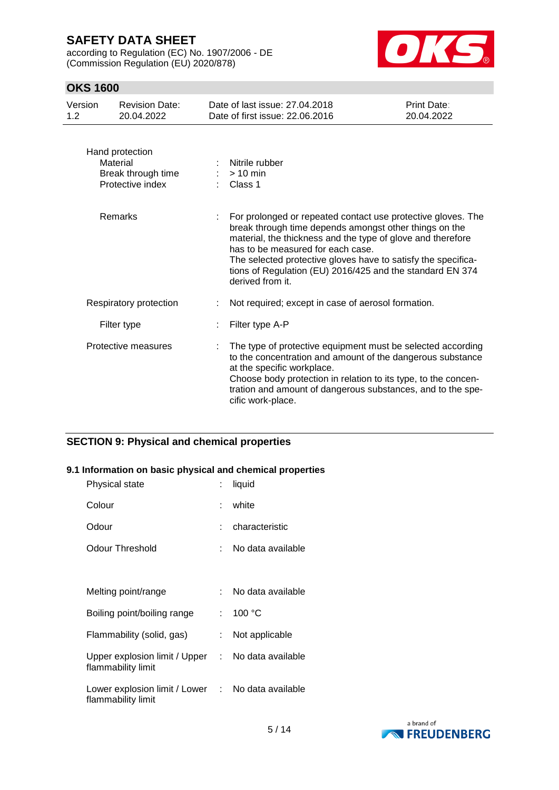according to Regulation (EC) No. 1907/2006 - DE (Commission Regulation (EU) 2020/878)



## **OKS 1600**

| Version<br>1.2 | <b>Revision Date:</b><br>20.04.2022                                   | Date of last issue: 27.04.2018<br>Date of first issue: 22.06.2016                                                                                                                                                                                                                                                                                                            | Print Date:<br>20.04.2022 |
|----------------|-----------------------------------------------------------------------|------------------------------------------------------------------------------------------------------------------------------------------------------------------------------------------------------------------------------------------------------------------------------------------------------------------------------------------------------------------------------|---------------------------|
|                | Hand protection<br>Material<br>Break through time<br>Protective index | Nitrile rubber<br>$> 10$ min<br>Class 1                                                                                                                                                                                                                                                                                                                                      |                           |
|                | <b>Remarks</b>                                                        | For prolonged or repeated contact use protective gloves. The<br>break through time depends amongst other things on the<br>material, the thickness and the type of glove and therefore<br>has to be measured for each case.<br>The selected protective gloves have to satisfy the specifica-<br>tions of Regulation (EU) 2016/425 and the standard EN 374<br>derived from it. |                           |
|                | Respiratory protection                                                | Not required; except in case of aerosol formation.                                                                                                                                                                                                                                                                                                                           |                           |
|                | Filter type                                                           | Filter type A-P                                                                                                                                                                                                                                                                                                                                                              |                           |
|                | Protective measures                                                   | The type of protective equipment must be selected according<br>to the concentration and amount of the dangerous substance<br>at the specific workplace.<br>Choose body protection in relation to its type, to the concen-<br>tration and amount of dangerous substances, and to the spe-<br>cific work-place.                                                                |                           |

## **SECTION 9: Physical and chemical properties**

### **9.1 Information on basic physical and chemical properties**

| Physical state                                                          | t.       | liquid            |
|-------------------------------------------------------------------------|----------|-------------------|
| Colour                                                                  | t.       | white             |
| Odour                                                                   |          | characteristic    |
| Odour Threshold                                                         |          | No data available |
|                                                                         |          |                   |
| Melting point/range                                                     | t.       | No data available |
| Boiling point/boiling range                                             | <b>.</b> | 100 °C            |
| Flammability (solid, gas)                                               | t.       | Not applicable    |
| Upper explosion limit / Upper :<br>flammability limit                   |          | No data available |
| Lower explosion limit / Lower : No data available<br>flammability limit |          |                   |

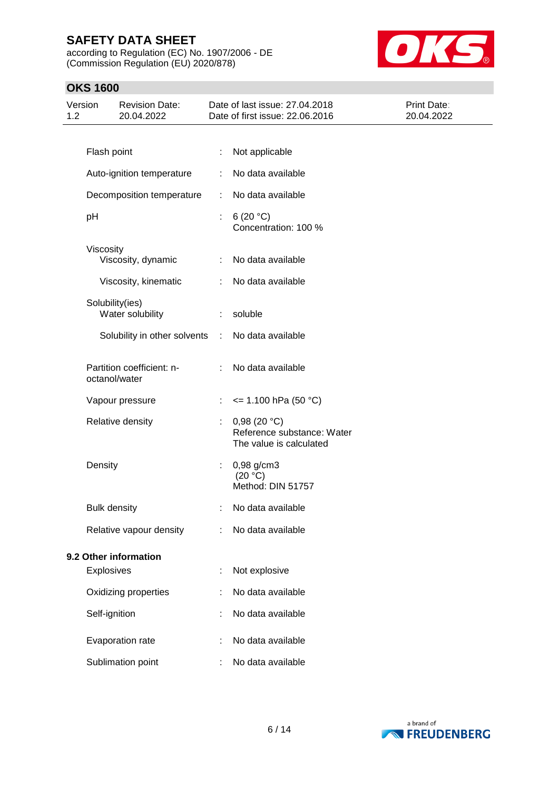according to Regulation (EC) No. 1907/2006 - DE (Commission Regulation (EU) 2020/878)



## **OKS 1600**

| Version<br>1.2 |                     | <b>Revision Date:</b><br>20.04.2022        |   | Date of last issue: 27.04.2018<br>Date of first issue: 22.06.2016    | Print Date:<br>20.04.2022 |
|----------------|---------------------|--------------------------------------------|---|----------------------------------------------------------------------|---------------------------|
|                |                     |                                            |   |                                                                      |                           |
|                | Flash point         |                                            |   | Not applicable                                                       |                           |
|                |                     | Auto-ignition temperature                  | ÷ | No data available                                                    |                           |
|                |                     | Decomposition temperature                  | ÷ | No data available                                                    |                           |
|                | pH                  |                                            |   | 6 $(20 °C)$<br>Concentration: 100 %                                  |                           |
|                | Viscosity           | Viscosity, dynamic                         |   | No data available                                                    |                           |
|                |                     | Viscosity, kinematic                       | ÷ | No data available                                                    |                           |
|                |                     | Solubility(ies)<br>Water solubility        | ÷ | soluble                                                              |                           |
|                |                     | Solubility in other solvents               | ÷ | No data available                                                    |                           |
|                |                     | Partition coefficient: n-<br>octanol/water |   | No data available                                                    |                           |
|                |                     | Vapour pressure                            |   | $\leq$ 1.100 hPa (50 °C)                                             |                           |
|                |                     | Relative density                           |   | 0,98(20 °C)<br>Reference substance: Water<br>The value is calculated |                           |
|                | Density             |                                            |   | 0,98 g/cm3<br>(20 °C)<br>Method: DIN 51757                           |                           |
|                | <b>Bulk density</b> |                                            |   | No data available                                                    |                           |
|                |                     | Relative vapour density                    |   | No data available                                                    |                           |
|                |                     | 9.2 Other information                      |   |                                                                      |                           |
|                | <b>Explosives</b>   |                                            |   | Not explosive                                                        |                           |
|                |                     | Oxidizing properties                       |   | No data available                                                    |                           |
|                | Self-ignition       |                                            |   | No data available                                                    |                           |
|                |                     | Evaporation rate                           |   | No data available                                                    |                           |
|                |                     | Sublimation point                          |   | No data available                                                    |                           |

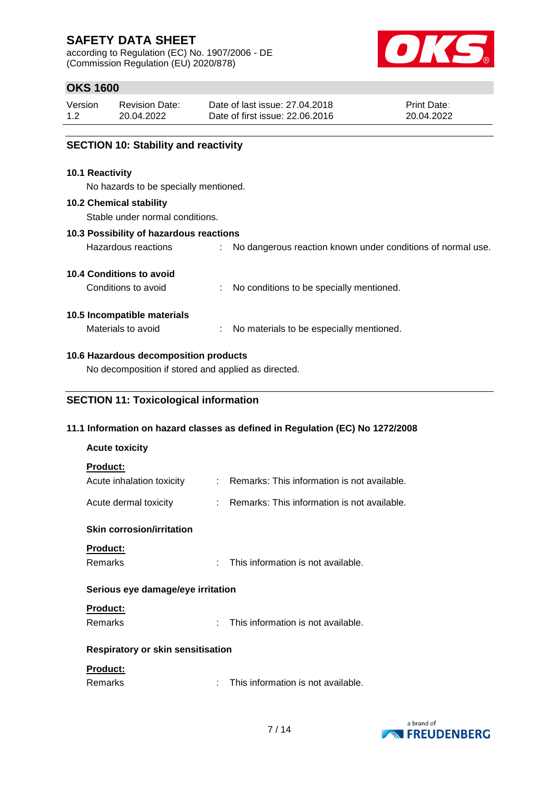according to Regulation (EC) No. 1907/2006 - DE (Commission Regulation (EU) 2020/878)



## **OKS 1600**

| Version | <b>Revision Date:</b> | Date of last issue: 27,04,2018  | <b>Print Date:</b> |
|---------|-----------------------|---------------------------------|--------------------|
| 1.2     | 20.04.2022            | Date of first issue: 22.06.2016 | 20.04.2022         |
|         |                       |                                 |                    |

Hazardous reactions : No dangerous reaction known under conditions of normal use.

### **SECTION 10: Stability and reactivity**

#### **10.1 Reactivity**

No hazards to be specially mentioned.

#### **10.2 Chemical stability**

Stable under normal conditions.

#### **10.3 Possibility of hazardous reactions**

| 10.4 Conditions to avoid |  |
|--------------------------|--|

| Conditions to avoid | No conditions to be specially mentioned. |
|---------------------|------------------------------------------|
|                     |                                          |

#### **10.5 Incompatible materials**

Materials to avoid : No materials to be especially mentioned.

#### **10.6 Hazardous decomposition products**

No decomposition if stored and applied as directed.

## **SECTION 11: Toxicological information**

#### **11.1 Information on hazard classes as defined in Regulation (EC) No 1272/2008**

| <b>Acute toxicity</b>                    |                            |                                             |
|------------------------------------------|----------------------------|---------------------------------------------|
| <b>Product:</b>                          |                            |                                             |
| Acute inhalation toxicity                | ÷.                         | Remarks: This information is not available. |
| Acute dermal toxicity                    | t.                         | Remarks: This information is not available. |
| <b>Skin corrosion/irritation</b>         |                            |                                             |
| <b>Product:</b>                          |                            |                                             |
| <b>Remarks</b>                           | $\epsilon$                 | This information is not available.          |
| Serious eye damage/eye irritation        |                            |                                             |
| <b>Product:</b>                          |                            |                                             |
| <b>Remarks</b>                           | $\mathbf{r}_{\mathrm{in}}$ | This information is not available.          |
| <b>Respiratory or skin sensitisation</b> |                            |                                             |
| <b>Product:</b>                          |                            |                                             |
| Remarks                                  | ÷                          | This information is not available.          |
|                                          |                            |                                             |

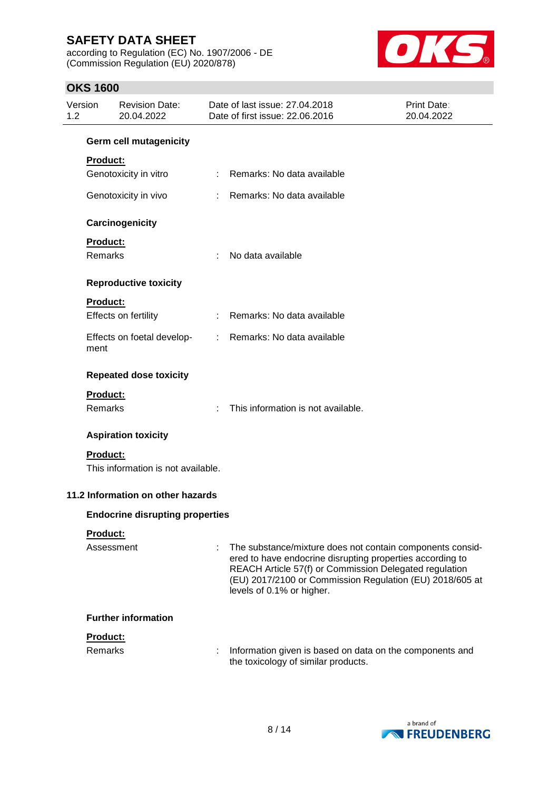according to Regulation (EC) No. 1907/2006 - DE (Commission Regulation (EU) 2020/878)



## **OKS 1600**

| Version<br>1.2 |                 | <b>Revision Date:</b><br>20.04.2022    | Date of last issue: 27,04,2018<br>Date of first issue: 22.06.2016                                                                                                                                                                                                         | <b>Print Date:</b><br>20.04.2022 |
|----------------|-----------------|----------------------------------------|---------------------------------------------------------------------------------------------------------------------------------------------------------------------------------------------------------------------------------------------------------------------------|----------------------------------|
|                |                 | Germ cell mutagenicity                 |                                                                                                                                                                                                                                                                           |                                  |
|                | <b>Product:</b> |                                        |                                                                                                                                                                                                                                                                           |                                  |
|                |                 | Genotoxicity in vitro                  | : Remarks: No data available                                                                                                                                                                                                                                              |                                  |
|                |                 | Genotoxicity in vivo                   | Remarks: No data available                                                                                                                                                                                                                                                |                                  |
|                |                 | Carcinogenicity                        |                                                                                                                                                                                                                                                                           |                                  |
|                | Product:        |                                        |                                                                                                                                                                                                                                                                           |                                  |
|                | Remarks         |                                        | No data available                                                                                                                                                                                                                                                         |                                  |
|                |                 | <b>Reproductive toxicity</b>           |                                                                                                                                                                                                                                                                           |                                  |
|                | Product:        |                                        |                                                                                                                                                                                                                                                                           |                                  |
|                |                 | Effects on fertility                   | : Remarks: No data available                                                                                                                                                                                                                                              |                                  |
|                | ment            | Effects on foetal develop-             | : Remarks: No data available                                                                                                                                                                                                                                              |                                  |
|                |                 | <b>Repeated dose toxicity</b>          |                                                                                                                                                                                                                                                                           |                                  |
|                | <b>Product:</b> |                                        |                                                                                                                                                                                                                                                                           |                                  |
|                | Remarks         |                                        | This information is not available.                                                                                                                                                                                                                                        |                                  |
|                |                 | <b>Aspiration toxicity</b>             |                                                                                                                                                                                                                                                                           |                                  |
|                | <b>Product:</b> |                                        |                                                                                                                                                                                                                                                                           |                                  |
|                |                 | This information is not available.     |                                                                                                                                                                                                                                                                           |                                  |
|                |                 | 11.2 Information on other hazards      |                                                                                                                                                                                                                                                                           |                                  |
|                |                 | <b>Endocrine disrupting properties</b> |                                                                                                                                                                                                                                                                           |                                  |
|                | <b>Product:</b> |                                        |                                                                                                                                                                                                                                                                           |                                  |
|                | Assessment      |                                        | The substance/mixture does not contain components consid-<br>ered to have endocrine disrupting properties according to<br>REACH Article 57(f) or Commission Delegated regulation<br>(EU) 2017/2100 or Commission Regulation (EU) 2018/605 at<br>levels of 0.1% or higher. |                                  |
|                |                 | <b>Further information</b>             |                                                                                                                                                                                                                                                                           |                                  |
|                | Product:        |                                        |                                                                                                                                                                                                                                                                           |                                  |
|                | Remarks         |                                        | Information given is based on data on the components and<br>the toxicology of similar products.                                                                                                                                                                           |                                  |

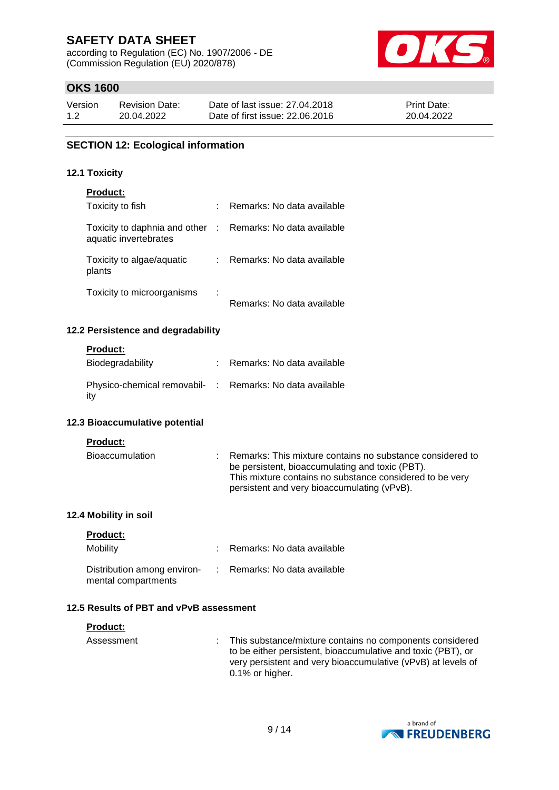according to Regulation (EC) No. 1907/2006 - DE (Commission Regulation (EU) 2020/878)



## **OKS 1600**

| Version | <b>Revision Date:</b> | Date of last issue: 27,04,2018  | <b>Print Date:</b> |
|---------|-----------------------|---------------------------------|--------------------|
| 1.2     | 20.04.2022            | Date of first issue: 22,06,2016 | 20.04.2022         |

### **SECTION 12: Ecological information**

#### **12.1 Toxicity**

| <b>Product:</b>                                                                     |                              |
|-------------------------------------------------------------------------------------|------------------------------|
| Toxicity to fish                                                                    | : Remarks: No data available |
| Toxicity to daphnia and other : Remarks: No data available<br>aquatic invertebrates |                              |
| Toxicity to algae/aquatic : Remarks: No data available<br>plants                    |                              |
| Toxicity to microorganisms                                                          | Remarks: No data available   |
| 12.2 Persistence and degradability                                                  |                              |
| <b>Product:</b>                                                                     |                              |
| Biodegradability                                                                    | : Remarks: No data available |
| Physico-chemical removabil- : Remarks: No data available<br>ity                     |                              |
| 12.3 Bioaccumulative potential                                                      |                              |

#### **Product:**

| Bioaccumulation | : Remarks: This mixture contains no substance considered to |
|-----------------|-------------------------------------------------------------|
|                 | be persistent, bioaccumulating and toxic (PBT).             |
|                 | This mixture contains no substance considered to be very    |
|                 | persistent and very bioaccumulating (vPvB).                 |

#### **12.4 Mobility in soil**

| <b>Product:</b> |  |
|-----------------|--|
|                 |  |

| <b>Mobility</b>                                    | Remarks: No data available   |
|----------------------------------------------------|------------------------------|
| Distribution among environ-<br>mental compartments | : Remarks: No data available |

## **12.5 Results of PBT and vPvB assessment**

| <b>Product:</b> |                                                                                                                                                                                                                  |
|-----------------|------------------------------------------------------------------------------------------------------------------------------------------------------------------------------------------------------------------|
| Assessment      | : This substance/mixture contains no components considered<br>to be either persistent, bioaccumulative and toxic (PBT), or<br>very persistent and very bioaccumulative (vPvB) at levels of<br>$0.1\%$ or higher. |

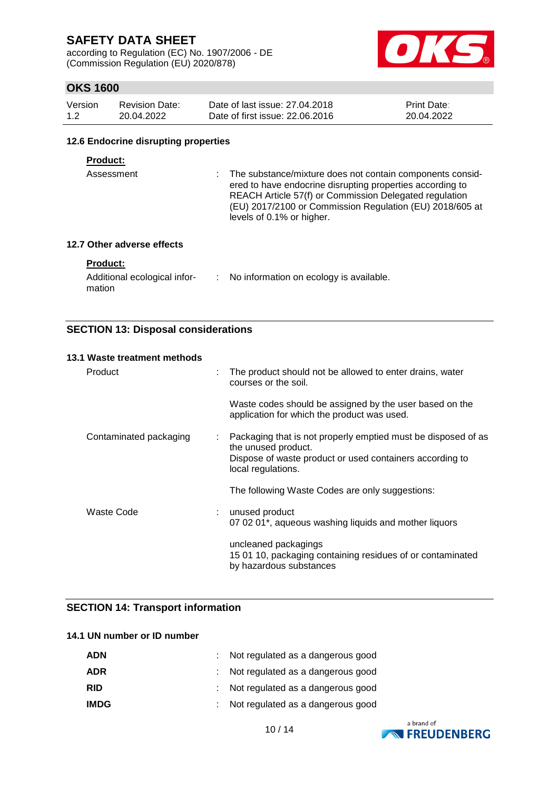according to Regulation (EC) No. 1907/2006 - DE (Commission Regulation (EU) 2020/878)



## **OKS 1600**

| Version | Revision Date: | Date of last issue: 27.04.2018  | <b>Print Date:</b> |
|---------|----------------|---------------------------------|--------------------|
| 1.2     | 20.04.2022     | Date of first issue: 22,06,2016 | 20.04.2022         |

#### **12.6 Endocrine disrupting properties**

#### **Product:**

Assessment : The substance/mixture does not contain components considered to have endocrine disrupting properties according to REACH Article 57(f) or Commission Delegated regulation (EU) 2017/2100 or Commission Regulation (EU) 2018/605 at levels of 0.1% or higher.

#### **12.7 Other adverse effects**

#### **Product:**

| Additional ecological infor- | No information on ecology is available. |
|------------------------------|-----------------------------------------|
| mation                       |                                         |

### **SECTION 13: Disposal considerations**

| 13.1 Waste treatment methods |   |                                                                                                                                                                        |
|------------------------------|---|------------------------------------------------------------------------------------------------------------------------------------------------------------------------|
| Product                      | ÷ | The product should not be allowed to enter drains, water<br>courses or the soil.                                                                                       |
|                              |   | Waste codes should be assigned by the user based on the<br>application for which the product was used.                                                                 |
| Contaminated packaging       | ÷ | Packaging that is not properly emptied must be disposed of as<br>the unused product.<br>Dispose of waste product or used containers according to<br>local regulations. |
|                              |   | The following Waste Codes are only suggestions:                                                                                                                        |
| Waste Code                   | ÷ | unused product<br>07 02 01*, aqueous washing liquids and mother liquors                                                                                                |
|                              |   | uncleaned packagings<br>15 01 10, packaging containing residues of or contaminated<br>by hazardous substances                                                          |

## **SECTION 14: Transport information**

## **14.1 UN number or ID number**

| <b>ADN</b>  | : Not regulated as a dangerous good |
|-------------|-------------------------------------|
| ADR         | : Not regulated as a dangerous good |
| <b>RID</b>  | : Not regulated as a dangerous good |
| <b>IMDG</b> | : Not regulated as a dangerous good |

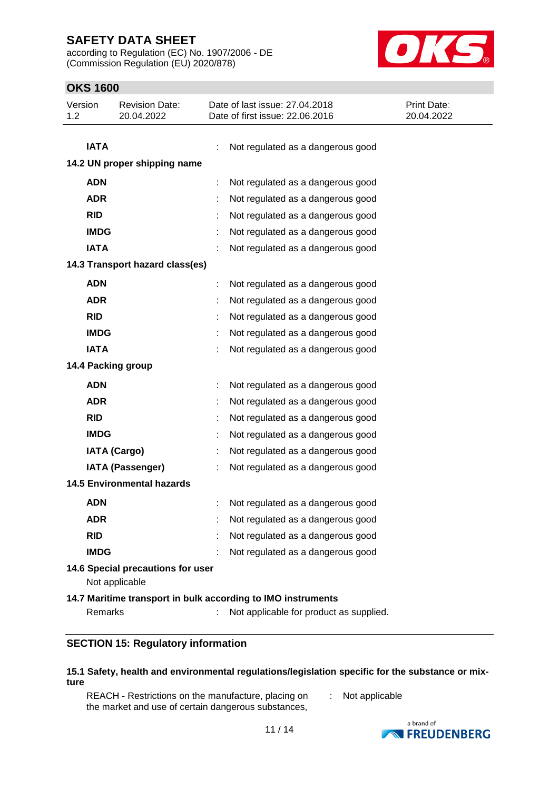**OKS 1600**

Version

according to Regulation (EC) No. 1907/2006 - DE (Commission Regulation (EU) 2020/878)

Date of last issue: 27.04.2018

Revision Date:



Print Date: 20.04.2022

# 1.2 20.04.2022 Date of first issue: 22.06.2016 **IATA** : Not regulated as a dangerous good **14.2 UN proper shipping name ADN** : Not regulated as a dangerous good **ADR** : Not regulated as a dangerous good **RID** : Not regulated as a dangerous good **IMDG** : Not regulated as a dangerous good **IATA** : Not regulated as a dangerous good **14.3 Transport hazard class(es) ADN** : Not regulated as a dangerous good **ADR** : Not regulated as a dangerous good **RID** : Not regulated as a dangerous good **IMDG** : Not regulated as a dangerous good **IATA** : Not regulated as a dangerous good **14.4 Packing group ADN** : Not regulated as a dangerous good **ADR** : Not regulated as a dangerous good **RID** : Not regulated as a dangerous good **IMDG** : Not regulated as a dangerous good **IATA (Cargo)** : Not regulated as a dangerous good **IATA (Passenger)** : Not regulated as a dangerous good **14.5 Environmental hazards**

| <b>ADN</b>  | : Not regulated as a dangerous good |
|-------------|-------------------------------------|
| <b>ADR</b>  | : Not regulated as a dangerous good |
| <b>RID</b>  | : Not regulated as a dangerous good |
| <b>IMDG</b> | : Not regulated as a dangerous good |
|             |                                     |

#### **14.6 Special precautions for user** Not applicable

#### **14.7 Maritime transport in bulk according to IMO instruments**

Remarks : Not applicable for product as supplied.

### **SECTION 15: Regulatory information**

#### **15.1 Safety, health and environmental regulations/legislation specific for the substance or mixture**

REACH - Restrictions on the manufacture, placing on the market and use of certain dangerous substances,

: Not applicable

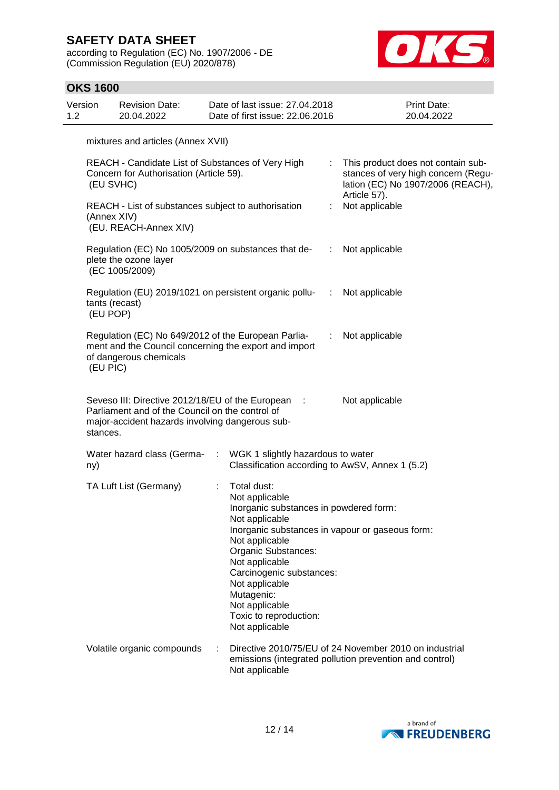**OKS 1600**

according to Regulation (EC) No. 1907/2006 - DE (Commission Regulation (EU) 2020/878)



#### Version 1.2 Revision Date: 20.04.2022 Date of last issue: 27.04.2018 Date of first issue: 22.06.2016 Print Date: 20.04.2022 mixtures and articles (Annex XVII) REACH - Candidate List of Substances of Very High Concern for Authorisation (Article 59). (EU SVHC) : This product does not contain substances of very high concern (Regulation (EC) No 1907/2006 (REACH), Article 57). REACH - List of substances subject to authorisation (Annex XIV) (EU. REACH-Annex XIV) : Not applicable Regulation (EC) No 1005/2009 on substances that deplete the ozone layer (EC 1005/2009) : Not applicable Regulation (EU) 2019/1021 on persistent organic pollutants (recast) (EU POP) : Not applicable Regulation (EC) No 649/2012 of the European Parliament and the Council concerning the export and import of dangerous chemicals (EU PIC) : Not applicable Seveso III: Directive 2012/18/EU of the European Parliament and of the Council on the control of major-accident hazards involving dangerous substances. : Not applicable Water hazard class (Germa- : ny) : WGK 1 slightly hazardous to water Classification according to AwSV, Annex 1 (5.2) TA Luft List (Germany) : Total dust: Not applicable Inorganic substances in powdered form: Not applicable Inorganic substances in vapour or gaseous form: Not applicable Organic Substances: Not applicable Carcinogenic substances: Not applicable Mutagenic: Not applicable Toxic to reproduction: Not applicable Volatile organic compounds : Directive 2010/75/EU of 24 November 2010 on industrial emissions (integrated pollution prevention and control) Not applicable

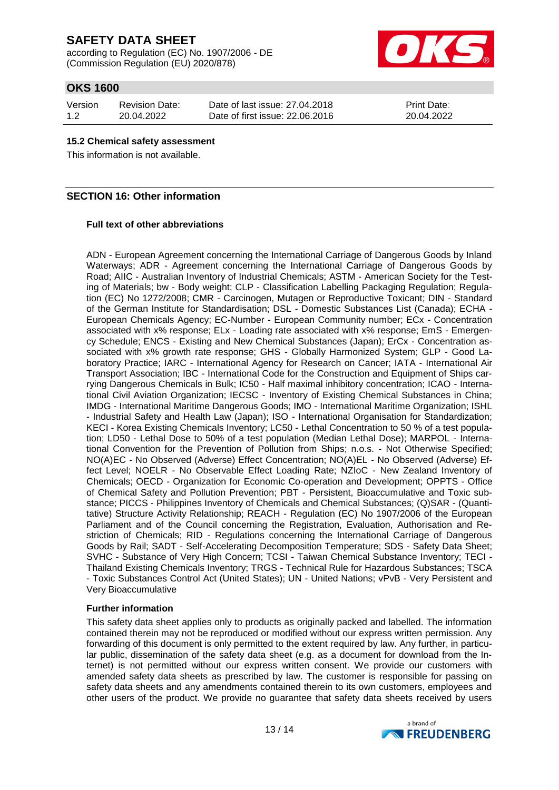according to Regulation (EC) No. 1907/2006 - DE (Commission Regulation (EU) 2020/878)



## **OKS 1600**

| Version | <b>Revision Date:</b> |
|---------|-----------------------|
| 12      | 20.04.2022            |

Date of last issue: 27.04.2018 Date of first issue: 22.06.2016

Print Date: 20.04.2022

#### **15.2 Chemical safety assessment**

This information is not available.

## **SECTION 16: Other information**

#### **Full text of other abbreviations**

ADN - European Agreement concerning the International Carriage of Dangerous Goods by Inland Waterways; ADR - Agreement concerning the International Carriage of Dangerous Goods by Road; AIIC - Australian Inventory of Industrial Chemicals; ASTM - American Society for the Testing of Materials; bw - Body weight; CLP - Classification Labelling Packaging Regulation; Regulation (EC) No 1272/2008; CMR - Carcinogen, Mutagen or Reproductive Toxicant; DIN - Standard of the German Institute for Standardisation; DSL - Domestic Substances List (Canada); ECHA - European Chemicals Agency; EC-Number - European Community number; ECx - Concentration associated with x% response; ELx - Loading rate associated with x% response; EmS - Emergency Schedule; ENCS - Existing and New Chemical Substances (Japan); ErCx - Concentration associated with x% growth rate response; GHS - Globally Harmonized System; GLP - Good Laboratory Practice; IARC - International Agency for Research on Cancer; IATA - International Air Transport Association; IBC - International Code for the Construction and Equipment of Ships carrying Dangerous Chemicals in Bulk; IC50 - Half maximal inhibitory concentration; ICAO - International Civil Aviation Organization; IECSC - Inventory of Existing Chemical Substances in China; IMDG - International Maritime Dangerous Goods; IMO - International Maritime Organization; ISHL - Industrial Safety and Health Law (Japan); ISO - International Organisation for Standardization; KECI - Korea Existing Chemicals Inventory; LC50 - Lethal Concentration to 50 % of a test population; LD50 - Lethal Dose to 50% of a test population (Median Lethal Dose); MARPOL - International Convention for the Prevention of Pollution from Ships; n.o.s. - Not Otherwise Specified; NO(A)EC - No Observed (Adverse) Effect Concentration; NO(A)EL - No Observed (Adverse) Effect Level; NOELR - No Observable Effect Loading Rate; NZIoC - New Zealand Inventory of Chemicals; OECD - Organization for Economic Co-operation and Development; OPPTS - Office of Chemical Safety and Pollution Prevention; PBT - Persistent, Bioaccumulative and Toxic substance; PICCS - Philippines Inventory of Chemicals and Chemical Substances; (Q)SAR - (Quantitative) Structure Activity Relationship; REACH - Regulation (EC) No 1907/2006 of the European Parliament and of the Council concerning the Registration, Evaluation, Authorisation and Restriction of Chemicals; RID - Regulations concerning the International Carriage of Dangerous Goods by Rail; SADT - Self-Accelerating Decomposition Temperature; SDS - Safety Data Sheet; SVHC - Substance of Very High Concern; TCSI - Taiwan Chemical Substance Inventory; TECI - Thailand Existing Chemicals Inventory; TRGS - Technical Rule for Hazardous Substances; TSCA - Toxic Substances Control Act (United States); UN - United Nations; vPvB - Very Persistent and Very Bioaccumulative

#### **Further information**

This safety data sheet applies only to products as originally packed and labelled. The information contained therein may not be reproduced or modified without our express written permission. Any forwarding of this document is only permitted to the extent required by law. Any further, in particular public, dissemination of the safety data sheet (e.g. as a document for download from the Internet) is not permitted without our express written consent. We provide our customers with amended safety data sheets as prescribed by law. The customer is responsible for passing on safety data sheets and any amendments contained therein to its own customers, employees and other users of the product. We provide no guarantee that safety data sheets received by users